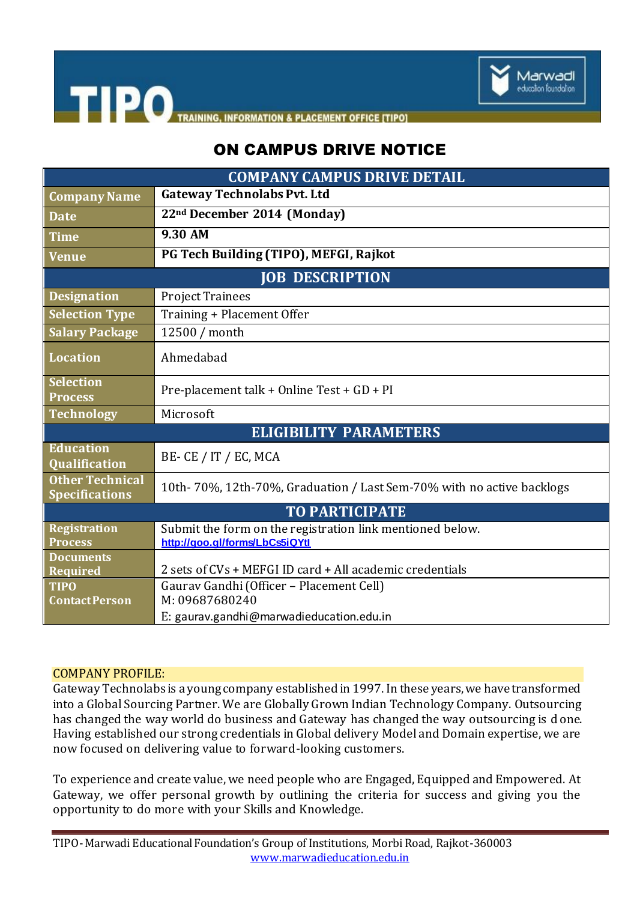

**TIPO TRAINING, INFORMATION & PLACEMENT OFFICE [TIPO]** 

## ON CAMPUS DRIVE NOTICE

| <b>COMPANY CAMPUS DRIVE DETAIL</b>              |                                                                                             |
|-------------------------------------------------|---------------------------------------------------------------------------------------------|
| <b>Company Name</b>                             | <b>Gateway Technolabs Pvt. Ltd</b>                                                          |
| <b>Date</b>                                     | 22nd December 2014 (Monday)                                                                 |
| <b>Time</b>                                     | $9.30$ AM                                                                                   |
| <b>Venue</b>                                    | PG Tech Building (TIPO), MEFGI, Rajkot                                                      |
| <b>JOB DESCRIPTION</b>                          |                                                                                             |
| <b>Designation</b>                              | <b>Project Trainees</b>                                                                     |
| <b>Selection Type</b>                           | Training + Placement Offer                                                                  |
| <b>Salary Package</b>                           | 12500 / month                                                                               |
| <b>Location</b>                                 | Ahmedabad                                                                                   |
| <b>Selection</b><br><b>Process</b>              | Pre-placement talk + Online Test + GD + PI                                                  |
| <b>Technology</b>                               | Microsoft                                                                                   |
| <b>ELIGIBILITY PARAMETERS</b>                   |                                                                                             |
| Education<br><b>Qualification</b>               | BE- CE / IT / EC, MCA                                                                       |
| <b>Other Technical</b><br><b>Specifications</b> | 10th-70%, 12th-70%, Graduation / Last Sem-70% with no active backlogs                       |
| <b>TO PARTICIPATE</b>                           |                                                                                             |
| <b>Registration</b><br><b>Process</b>           | Submit the form on the registration link mentioned below.<br>http://goo.gl/forms/LbCs5iQYtl |
| <b>Documents</b><br>Required                    | 2 sets of CVs + MEFGI ID card + All academic credentials                                    |
| <b>TIPO</b><br><b>Contact Person</b>            | Gaurav Gandhi (Officer - Placement Cell)<br>M: 09687680240                                  |
|                                                 | E: gaurav.gandhi@marwadieducation.edu.in                                                    |

## COMPANY PROFILE:

Gateway Technolabs is a young company established in 1997. In these years, we have transformed into a Global Sourcing Partner. We are Globally Grown Indian Technology Company. Outsourcing has changed the way world do business and Gateway has changed the way outsourcing is done. Having established our strong credentials in Global delivery Model and Domain expertise, we are now focused on delivering value to forward-looking customers.

To experience and create value, we need people who are Engaged, Equipped and Empowered. At Gateway, we offer personal growth by outlining the criteria for success and giving you the opportunity to do more with your Skills and Knowledge.